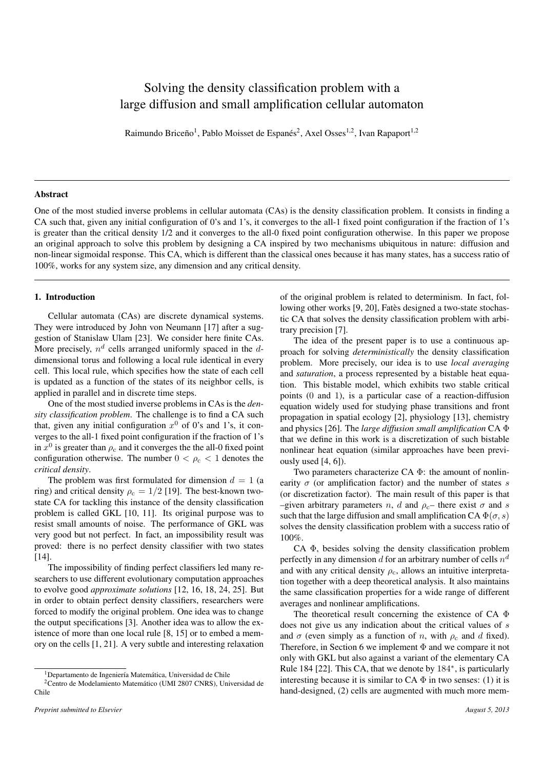# Solving the density classification problem with a large diffusion and small amplification cellular automaton

Raimundo Briceño<sup>1</sup>, Pablo Moisset de Espanés<sup>2</sup>, Axel Osses<sup>1,2</sup>, Ivan Rapaport<sup>1,2</sup>

## Abstract

One of the most studied inverse problems in cellular automata (CAs) is the density classification problem. It consists in finding a CA such that, given any initial configuration of 0's and 1's, it converges to the all-1 fixed point configuration if the fraction of 1's is greater than the critical density 1/2 and it converges to the all-0 fixed point configuration otherwise. In this paper we propose an original approach to solve this problem by designing a CA inspired by two mechanisms ubiquitous in nature: diffusion and non-linear sigmoidal response. This CA, which is different than the classical ones because it has many states, has a success ratio of 100%, works for any system size, any dimension and any critical density.

## 1. Introduction

Cellular automata (CAs) are discrete dynamical systems. They were introduced by John von Neumann [17] after a suggestion of Stanislaw Ulam [23]. We consider here finite CAs. More precisely,  $n^d$  cells arranged uniformly spaced in the  $d$ dimensional torus and following a local rule identical in every cell. This local rule, which specifies how the state of each cell is updated as a function of the states of its neighbor cells, is applied in parallel and in discrete time steps.

One of the most studied inverse problems in CAs is the *density classification problem*. The challenge is to find a CA such that, given any initial configuration  $x^0$  of 0's and 1's, it converges to the all-1 fixed point configuration if the fraction of 1's in  $x^0$  is greater than  $\rho_c$  and it converges the the all-0 fixed point configuration otherwise. The number  $0 < \rho_c < 1$  denotes the *critical density*.

The problem was first formulated for dimension  $d = 1$  (a ring) and critical density  $\rho_c = 1/2$  [19]. The best-known twostate CA for tackling this instance of the density classification problem is called GKL [10, 11]. Its original purpose was to resist small amounts of noise. The performance of GKL was very good but not perfect. In fact, an impossibility result was proved: there is no perfect density classifier with two states [14].

The impossibility of finding perfect classifiers led many researchers to use different evolutionary computation approaches to evolve good *approximate solutions* [12, 16, 18, 24, 25]. But in order to obtain perfect density classifiers, researchers were forced to modify the original problem. One idea was to change the output specifications [3]. Another idea was to allow the existence of more than one local rule [8, 15] or to embed a memory on the cells [1, 21]. A very subtle and interesting relaxation

of the original problem is related to determinism. In fact, following other works [9, 20], Fatès designed a two-state stochastic CA that solves the density classification problem with arbitrary precision [7].

The idea of the present paper is to use a continuous approach for solving *deterministically* the density classification problem. More precisely, our idea is to use *local averaging* and *saturation*, a process represented by a bistable heat equation. This bistable model, which exhibits two stable critical points (0 and 1), is a particular case of a reaction-diffusion equation widely used for studying phase transitions and front propagation in spatial ecology [2], physiology [13], chemistry and physics [26]. The *large diffusion small amplification* CA Φ that we define in this work is a discretization of such bistable nonlinear heat equation (similar approaches have been previously used [4, 6]).

Two parameters characterize CA Φ: the amount of nonlinearity  $\sigma$  (or amplification factor) and the number of states s (or discretization factor). The main result of this paper is that –given arbitrary parameters n, d and  $\rho_c$ – there exist  $\sigma$  and s such that the large diffusion and small amplification CA  $\Phi(\sigma, s)$ solves the density classification problem with a success ratio of 100%.

CA Φ, besides solving the density classification problem perfectly in any dimension d for an arbitrary number of cells  $n^d$ and with any critical density  $\rho_c$ , allows an intuitive interpretation together with a deep theoretical analysis. It also maintains the same classification properties for a wide range of different averages and nonlinear amplifications.

The theoretical result concerning the existence of CA Φ does not give us any indication about the critical values of s and  $\sigma$  (even simply as a function of n, with  $\rho_c$  and d fixed). Therefore, in Section 6 we implement  $\Phi$  and we compare it not only with GKL but also against a variant of the elementary CA Rule 184 [22]. This CA, that we denote by 184<sup>∗</sup> , is particularly interesting because it is similar to  $CA \Phi$  in two senses: (1) it is hand-designed, (2) cells are augmented with much more mem-

<sup>&</sup>lt;sup>1</sup>Departamento de Ingeniería Matemática, Universidad de Chile

<sup>2</sup>Centro de Modelamiento Matematico (UMI 2807 CNRS), Universidad de ´ Chile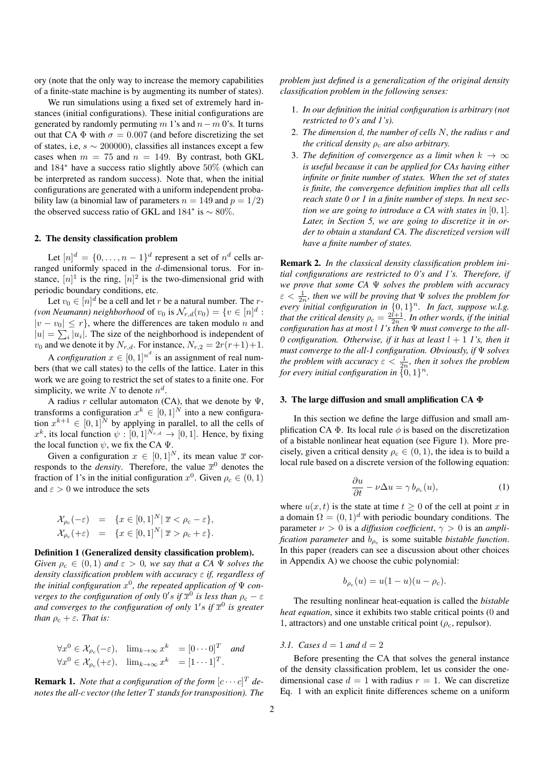ory (note that the only way to increase the memory capabilities of a finite-state machine is by augmenting its number of states).

We run simulations using a fixed set of extremely hard instances (initial configurations). These initial configurations are generated by randomly permuting m 1's and  $n-m$  0's. It turns out that CA  $\Phi$  with  $\sigma = 0.007$  (and before discretizing the set of states, i.e,  $s \sim 200000$ , classifies all instances except a few cases when  $m = 75$  and  $n = 149$ . By contrast, both GKL and 184<sup>∗</sup> have a success ratio slightly above 50% (which can be interpreted as random success). Note that, when the initial configurations are generated with a uniform independent probability law (a binomial law of parameters  $n = 149$  and  $p = 1/2$ ) the observed success ratio of GKL and  $184^*$  is  $\sim 80\%$ .

## 2. The density classification problem

Let  $[n]^d = \{0, \ldots, n-1\}^d$  represent a set of  $n^d$  cells arranged uniformly spaced in the d-dimensional torus. For instance,  $[n]$ <sup>1</sup> is the ring,  $[n]$ <sup>2</sup> is the two-dimensional grid with periodic boundary conditions, etc.

Let  $v_0 \in [n]^d$  be a cell and let  $r$  be a natural number. The  $r$ -(von Neumann) neighborhood of  $v_0$  is  $\mathcal{N}_{r,d}(v_0) = \{v \in [n]^d :$  $|v - v_0| \le r$ , where the differences are taken modulo n and  $|u| = \sum_i |u_i|$ . The size of the neighborhood is independent of  $v_0$  and we denote it by  $N_{r,d}$ . For instance,  $N_{r,2} = 2r(r+1)+1$ .

A *configuration*  $x \in [0,1]^{n^d}$  is an assignment of real numbers (that we call states) to the cells of the lattice. Later in this work we are going to restrict the set of states to a finite one. For simplicity, we write N to denote  $n^d$ .

A radius r cellular automaton (CA), that we denote by  $\Psi$ , transforms a configuration  $x^k \in [0,1]^N$  into a new configuration  $x^{k+1} \in [0,1]^N$  by applying in parallel, to all the cells of  $x^k$ , its local function  $\psi : [0,1]^{N_{r,d}} \to [0,1]$ . Hence, by fixing the local function  $\psi$ , we fix the CA  $\Psi$ .

Given a configuration  $x \in [0, 1]^N$ , its mean value  $\overline{x}$  corresponds to the *density*. Therefore, the value  $\bar{x}^0$  denotes the fraction of 1's in the initial configuration  $x^0$ . Given  $\rho_c \in (0, 1)$ and  $\varepsilon > 0$  we introduce the sets

$$
\mathcal{X}_{\rho_c}(-\varepsilon) = \{x \in [0,1]^N | \overline{x} < \rho_c - \varepsilon\},
$$
\n
$$
\mathcal{X}_{\rho_c}(+\varepsilon) = \{x \in [0,1]^N | \overline{x} > \rho_c + \varepsilon\}.
$$

#### Definition 1 (Generalized density classification problem).

*Given*  $\rho_c \in (0,1)$  *and*  $\varepsilon > 0$ *, we say that a CA*  $\Psi$  *solves the density classification problem with accuracy* ε *if, regardless of* the initial configuration  $x^0$ , the repeated application of  $\Psi$  con $v$ erges to the configuration of only  $0's$  if  $\overline{x}^0$  is less than  $\rho_{\rm c}-\varepsilon$ and converges to the configuration of only  $1's$  if  $\overline{x}^0$  is greater *than*  $\rho_c + \varepsilon$ *. That is:* 

$$
\forall x^{0} \in \mathcal{X}_{\rho_{c}}(-\varepsilon), \quad \lim_{k \to \infty} x^{k} = [0 \cdots 0]^{T} \quad and
$$
  

$$
\forall x^{0} \in \mathcal{X}_{\rho_{c}}(+\varepsilon), \quad \lim_{k \to \infty} x^{k} = [1 \cdots 1]^{T}.
$$

**Remark 1.** *Note that a configuration of the form*  $[c \cdots c]^T$  *denotes the all-*c *vector (the letter* T *stands for transposition). The* *problem just defined is a generalization of the original density classification problem in the following senses:*

- 1. *In our definition the initial configuration is arbitrary (not restricted to 0's and 1's).*
- 2. *The dimension* d*, the number of cells* N*, the radius* r *and the critical density*  $\rho_c$  *are also arbitrary.*
- 3. The definition of convergence as a limit when  $k \to \infty$ *is useful because it can be applied for CAs having either infinite or finite number of states. When the set of states is finite, the convergence definition implies that all cells reach state 0 or 1 in a finite number of steps. In next section we are going to introduce a CA with states in* [0, 1]*. Later, in Section 5, we are going to discretize it in order to obtain a standard CA. The discretized version will have a finite number of states.*

Remark 2. *In the classical density classification problem initial configurations are restricted to 0's and 1's. Therefore, if we prove that some CA* Ψ *solves the problem with accuracy*  $\varepsilon < \frac{1}{2n}$ , then we will be proving that  $\Psi$  solves the problem for  $e \leq 2^n$ , then we wan be proving that  $\ast$  solves the problem for<br>every initial configuration in  $\{0,1\}^n$ . In fact, suppose w.l.g. *that the critical density*  $\rho_c = \frac{2l+1}{2n}$ *. In other words, if the initial configuration has at most* l *1's then* Ψ *must converge to the all-0 configuration. Otherwise, if it has at least*  $l + 1$  *l's, then it must converge to the all-1 configuration. Obviously, if* Ψ *solves the problem with accuracy*  $\varepsilon < \frac{1}{2n}$ *, then it solves the problem for every initial configuration in*  $\{0,1\}^n$ .

#### 3. The large diffusion and small amplification CA Φ

In this section we define the large diffusion and small amplification CA  $\Phi$ . Its local rule  $\phi$  is based on the discretization of a bistable nonlinear heat equation (see Figure 1). More precisely, given a critical density  $\rho_c \in (0,1)$ , the idea is to build a local rule based on a discrete version of the following equation:

$$
\frac{\partial u}{\partial t} - \nu \Delta u = \gamma b_{\rho_c}(u),\tag{1}
$$

where  $u(x, t)$  is the state at time  $t \geq 0$  of the cell at point x in a domain  $\Omega = (0, 1)^d$  with periodic boundary conditions. The parameter  $\nu > 0$  is a *diffusion coefficient*,  $\gamma > 0$  is an *amplification parameter* and  $b_{\rho_c}$  is some suitable *bistable function*. In this paper (readers can see a discussion about other choices in Appendix A) we choose the cubic polynomial:

$$
b_{\rho_c}(u) = u(1-u)(u - \rho_c).
$$

The resulting nonlinear heat-equation is called the *bistable heat equation*, since it exhibits two stable critical points (0 and 1, attractors) and one unstable critical point ( $\rho_c$ , repulsor).

## *3.1. Cases*  $d = 1$  *and*  $d = 2$

Before presenting the CA that solves the general instance of the density classification problem, let us consider the onedimensional case  $d = 1$  with radius  $r = 1$ . We can discretize Eq. 1 with an explicit finite differences scheme on a uniform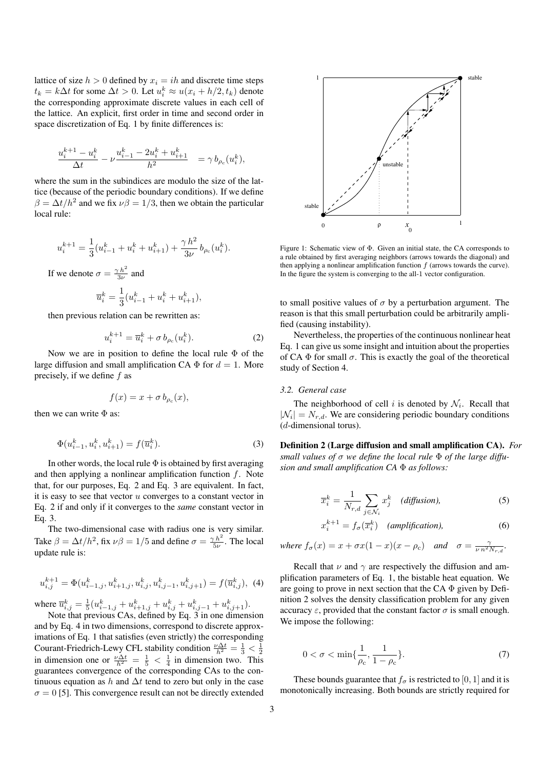lattice of size  $h > 0$  defined by  $x_i = ih$  and discrete time steps  $t_k = k\Delta t$  for some  $\Delta t > 0$ . Let  $u_i^k \approx u(x_i + h/2, t_k)$  denote the corresponding approximate discrete values in each cell of the lattice. An explicit, first order in time and second order in space discretization of Eq. 1 by finite differences is:

$$
\frac{u_i^{k+1} - u_i^k}{\Delta t} - \nu \frac{u_{i-1}^k - 2u_i^k + u_{i+1}^k}{h^2} = \gamma b_{\rho_c}(u_i^k),
$$

where the sum in the subindices are modulo the size of the lattice (because of the periodic boundary conditions). If we define  $\beta = \Delta t / h^2$  and we fix  $\nu \beta = 1/3$ , then we obtain the particular local rule:

$$
u_i^{k+1} = \frac{1}{3} (u_{i-1}^k + u_i^k + u_{i+1}^k) + \frac{\gamma h^2}{3\nu} b_{\rho_c}(u_i^k).
$$
  
If we denote  $\sigma = \frac{\gamma h^2}{3\nu}$  and  

$$
\overline{u}_i^k = \frac{1}{3} (u_{i-1}^k + u_i^k + u_{i+1}^k),
$$

then previous relation can be rewritten as:

$$
u_i^{k+1} = \overline{u}_i^k + \sigma b_{\rho_c}(u_i^k). \tag{2}
$$

Now we are in position to define the local rule Φ of the large diffusion and small amplification CA  $\Phi$  for  $d = 1$ . More precisely, if we define  $f$  as

$$
f(x) = x + \sigma b_{\rho_c}(x),
$$

then we can write  $\Phi$  as:

$$
\Phi(u_{i-1}^k, u_i^k, u_{i+1}^k) = f(\overline{u}_i^k). \tag{3}
$$

In other words, the local rule  $\Phi$  is obtained by first averaging and then applying a nonlinear amplification function  $f$ . Note that, for our purposes, Eq. 2 and Eq. 3 are equivalent. In fact, it is easy to see that vector  $u$  converges to a constant vector in Eq. 2 if and only if it converges to the *same* constant vector in Eq. 3.

The two-dimensional case with radius one is very similar. Take  $\beta = \Delta t/h^2$ , fix  $\nu \beta = 1/5$  and define  $\sigma = \frac{\gamma h^2}{5\nu}$ . The local update rule is:

$$
u_{i,j}^{k+1} = \Phi(u_{i-1,j}^k, u_{i+1,j}^k, u_{i,j}^k, u_{i,j-1}^k, u_{i,j+1}^k) = f(\overline{u}_{i,j}^k), \tag{4}
$$

where  $\overline{u}_{i,j}^k = \frac{1}{5} (u_{i-1,j}^k + u_{i+1,j}^k + u_{i,j}^k + u_{i,j-1}^k + u_{i,j+1}^k).$ 

Note that previous CAs, defined by Eq. 3 in one dimension and by Eq. 4 in two dimensions, correspond to discrete approximations of Eq. 1 that satisfies (even strictly) the corresponding Courant-Friedrich-Lewy CFL stability condition  $\frac{\nu \Delta t}{h^2} = \frac{1}{3} < \frac{1}{2}$ in dimension one or  $\frac{\nu \Delta t}{h^2} = \frac{1}{5} < \frac{1}{4}$  in dimension two. This guarantees convergence of the corresponding CAs to the continuous equation as h and  $\Delta t$  tend to zero but only in the case  $\sigma = 0$  [5]. This convergence result can not be directly extended



Figure 1: Schematic view of Φ. Given an initial state, the CA corresponds to a rule obtained by first averaging neighbors (arrows towards the diagonal) and then applying a nonlinear amplification function  $f$  (arrows towards the curve). In the figure the system is converging to the all-1 vector configuration.

to small positive values of  $\sigma$  by a perturbation argument. The reason is that this small perturbation could be arbitrarily amplified (causing instability).

Nevertheless, the properties of the continuous nonlinear heat Eq. 1 can give us some insight and intuition about the properties of CA  $\Phi$  for small  $\sigma$ . This is exactly the goal of the theoretical study of Section 4.

## *3.2. General case*

The neighborhood of cell i is denoted by  $\mathcal{N}_i$ . Recall that  $|\mathcal{N}_i| = N_{r,d}$ . We are considering periodic boundary conditions (d-dimensional torus).

Definition 2 (Large diffusion and small amplification CA). *For small values of* σ *we define the local rule* Φ *of the large diffusion and small amplification CA* Φ *as follows:*

$$
\overline{x}_i^k = \frac{1}{N_{r,d}} \sum_{j \in \mathcal{N}_i} x_j^k \quad (diffusion), \tag{5}
$$

$$
x_i^{k+1} = f_\sigma(\overline{x}_i^k) \quad (amplification), \tag{6}
$$

where 
$$
f_{\sigma}(x) = x + \sigma x (1 - x) (x - \rho_c)
$$
 and  $\sigma = \frac{\gamma}{\nu n^2 N_{r,d}}$ .

Recall that  $\nu$  and  $\gamma$  are respectively the diffusion and amplification parameters of Eq. 1, the bistable heat equation. We are going to prove in next section that the CA  $\Phi$  given by Definition 2 solves the density classification problem for any given accuracy  $\varepsilon$ , provided that the constant factor  $\sigma$  is small enough. We impose the following:

$$
0 < \sigma < \min\{\frac{1}{\rho_c}, \frac{1}{1 - \rho_c}\}.\tag{7}
$$

These bounds guarantee that  $f_{\sigma}$  is restricted to [0, 1] and it is monotonically increasing. Both bounds are strictly required for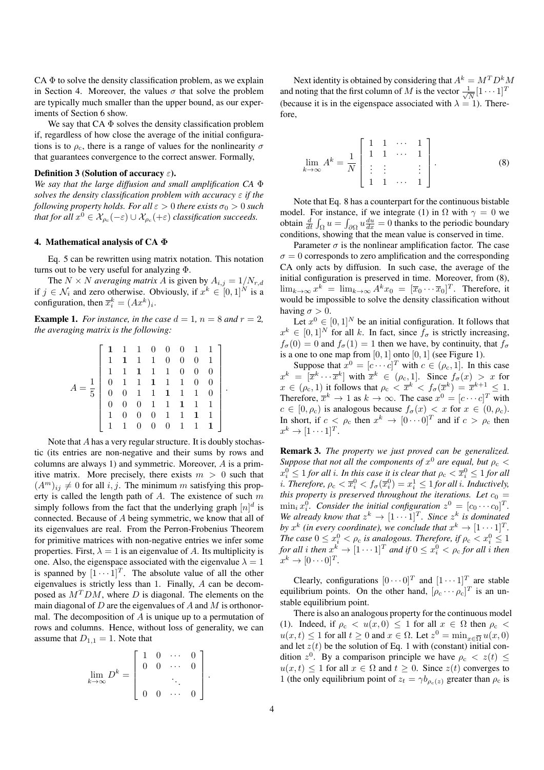$CA \Phi$  to solve the density classification problem, as we explain in Section 4. Moreover, the values  $\sigma$  that solve the problem are typically much smaller than the upper bound, as our experiments of Section 6 show.

We say that  $CA \Phi$  solves the density classification problem if, regardless of how close the average of the initial configurations is to  $\rho_c$ , there is a range of values for the nonlinearity  $\sigma$ that guarantees convergence to the correct answer. Formally,

## Definition 3 (Solution of accuracy  $\varepsilon$ ).

*We say that the large diffusion and small amplification CA* Φ *solves the density classification problem with accuracy* ε *if the following property holds. For all*  $\varepsilon > 0$  *there exists*  $\sigma_0 > 0$  *such that for all*  $x^0 \in \mathcal{X}_{\rho_c}(-\varepsilon) \cup \mathcal{X}_{\rho_c}(+\varepsilon)$  *classification succeeds.* 

## 4. Mathematical analysis of CA Φ

Eq. 5 can be rewritten using matrix notation. This notation turns out to be very useful for analyzing Φ.

The  $N \times N$  *averaging matrix* A is given by  $A_{i,j} = 1/N_{r,d}$ if  $j \in \mathcal{N}_i$  and zero otherwise. Obviously, if  $x^k \in [0,1]^N$  is a configuration, then  $\overline{x}_i^k = (Ax^k)_i$ .

**Example 1.** *For instance, in the case*  $d = 1$ *,*  $n = 8$  *and*  $r = 2$ *, the averaging matrix is the following:*

$$
A = \frac{1}{5} \begin{bmatrix} 1 & 1 & 1 & 0 & 0 & 0 & 1 & 1 \\ 1 & 1 & 1 & 1 & 0 & 0 & 0 & 1 \\ 1 & 1 & 1 & 1 & 1 & 0 & 0 & 0 \\ 0 & 1 & 1 & 1 & 1 & 1 & 0 & 0 \\ 0 & 0 & 1 & 1 & 1 & 1 & 1 & 0 \\ 0 & 0 & 0 & 1 & 1 & 1 & 1 & 1 \\ 1 & 0 & 0 & 0 & 1 & 1 & 1 & 1 \\ 1 & 1 & 0 & 0 & 0 & 1 & 1 & 1 \end{bmatrix}.
$$

Note that A has a very regular structure. It is doubly stochastic (its entries are non-negative and their sums by rows and columns are always 1) and symmetric. Moreover, A is a primitive matrix. More precisely, there exists  $m > 0$  such that  $(A<sup>m</sup>)<sub>ij</sub> \neq 0$  for all i, j. The minimum m satisfying this property is called the length path of  $A$ . The existence of such  $m$ simply follows from the fact that the underlying graph  $[n]^d$  is connected. Because of A being symmetric, we know that all of its eigenvalues are real. From the Perron-Frobenius Theorem for primitive matrices with non-negative entries we infer some properties. First,  $\lambda = 1$  is an eigenvalue of A. Its multiplicity is one. Also, the eigenspace associated with the eigenvalue  $\lambda = 1$ is spanned by  $[1 \cdots 1]^T$ . The absolute value of all the other eigenvalues is strictly less than 1. Finally, A can be decomposed as  $M<sup>T</sup>DM$ , where D is diagonal. The elements on the main diagonal of  $D$  are the eigenvalues of  $A$  and  $M$  is orthonormal. The decomposition of  $A$  is unique up to a permutation of rows and columns. Hence, without loss of generality, we can assume that  $D_{1,1} = 1$ . Note that

$$
\lim_{k \to \infty} D^k = \begin{bmatrix} 1 & 0 & \cdots & 0 \\ 0 & 0 & \cdots & 0 \\ & & \ddots & \\ 0 & 0 & \cdots & 0 \end{bmatrix}.
$$

Next identity is obtained by considering that  $A^k = M^T D^k M$ and noting that the first column of M is the vector  $\frac{1}{\sqrt{2}}$  $\frac{1}{\overline{N}}[1\cdots1]^T$ (because it is in the eigenspace associated with  $\lambda = 1$ ). Therefore,

$$
\lim_{k \to \infty} A^k = \frac{1}{N} \begin{bmatrix} 1 & 1 & \cdots & 1 \\ 1 & 1 & \cdots & 1 \\ \vdots & \vdots & & \vdots \\ 1 & 1 & \cdots & 1 \end{bmatrix} . \tag{8}
$$

Note that Eq. 8 has a counterpart for the continuous bistable model. For instance, if we integrate (1) in  $\Omega$  with  $\gamma = 0$  we obtain  $\frac{d}{dt} \int_{\Omega} u = \int_{\partial \Omega} u \frac{du}{dx} = 0$  thanks to the periodic boundary conditions, showing that the mean value is conserved in time.

Parameter  $\sigma$  is the nonlinear amplification factor. The case  $\sigma = 0$  corresponds to zero amplification and the corresponding CA only acts by diffusion. In such case, the average of the initial configuration is preserved in time. Moreover, from (8),  $\lim_{k\to\infty} x^k = \lim_{k\to\infty} A^k x_0 = [\overline{x}_0 \cdots \overline{x}_0]^T$ . Therefore, it would be impossible to solve the density classification without having  $\sigma > 0$ .

Let  $x^0 \in [0, 1]^N$  be an initial configuration. It follows that  $x^k \in [0,1]^N$  for all k. In fact, since  $f_\sigma$  is strictly increasing,  $f_{\sigma}(0) = 0$  and  $f_{\sigma}(1) = 1$  then we have, by continuity, that  $f_{\sigma}$ is a one to one map from  $[0, 1]$  onto  $[0, 1]$  (see Figure 1).

Suppose that  $x^0 = [c \cdots c]^T$  with  $c \in (\rho_c, 1]$ . In this case  $x^k = [\overline{x}^k \cdots \overline{x}^k]$  with  $\overline{x}^k \in (\rho_c, 1]$ . Since  $f_\sigma(x) > x$  for  $x \in (\rho_{\rm c}, 1)$  it follows that  $\rho_{\rm c} < \overline{x}^k < f_{\sigma}(\overline{x}^k) = \overline{x}^{k+1} \leq 1$ . Therefore,  $\overline{x}^k \to 1$  as  $k \to \infty$ . The case  $x^0 = [c \cdots c]^T$  with  $c \in [0, \rho_c)$  is analogous because  $f_{\sigma}(x) < x$  for  $x \in (0, \rho_c)$ . In short, if  $c < \rho_c$  then  $x^k \to [0 \cdots 0]^T$  and if  $c > \rho_c$  then  $x^k \to [1 \cdots 1]^T$ .

Remark 3. *The property we just proved can be generalized. Suppose that not all the components of*  $x^0$  *are equal, but*  $\rho_c$  <  $x_i^0 \leq 1$  *for all i. In this case it is clear that*  $\rho_c < \overline{x}_i^0 \leq 1$  *for all i*. Therefore,  $\rho_c < \overline{x}_i^0 < f_\sigma(\overline{x}_i^0) = x_i^1 \leq 1$  for all *i*. Inductively, *this property is preserved throughout the iterations. Let*  $c_0$  =  $\min_i x_i^0$ . Consider the initial configuration  $z^0 = [c_0 \cdots c_0]^T$ . *We already know that*  $z^k \to [1 \cdots 1]^T$ *. Since*  $z^k$  *is dominated by*  $x^k$  (in every coordinate), we conclude that  $x^k \to [1 \cdots 1]^T$ . *The case*  $0 \le x_i^0 < \rho_c$  *is analogous. Therefore, if*  $\rho_c < x_i^0 \le 1$ for all  $i$  then  $x^k \to [1 \cdots 1]^T$  and if  $0 \leq x^0_i < \rho_{\rm c}$  for all  $i$  then  $x^k \to [0 \cdots 0]^T$ .

Clearly, configurations  $[0 \cdots 0]^T$  and  $[1 \cdots 1]^T$  are stable equilibrium points. On the other hand,  $[\rho_c \cdots \rho_c]^T$  is an unstable equilibrium point.

There is also an analogous property for the continuous model (1). Indeed, if  $\rho_c < u(x,0) \leq 1$  for all  $x \in \Omega$  then  $\rho_c <$  $u(x,t) \leq 1$  for all  $t \geq 0$  and  $x \in \Omega$ . Let  $z^0 = \min_{x \in \overline{\Omega}} u(x,0)$ and let  $z(t)$  be the solution of Eq. 1 with (constant) initial condition  $z^0$ . By a comparison principle we have  $\rho_c < z(t) \leq$  $u(x, t) \leq 1$  for all  $x \in \Omega$  and  $t \geq 0$ . Since  $z(t)$  converges to 1 (the only equilibrium point of  $z_t = \gamma b_{\rho_c(z)}$  greater than  $\rho_c$  is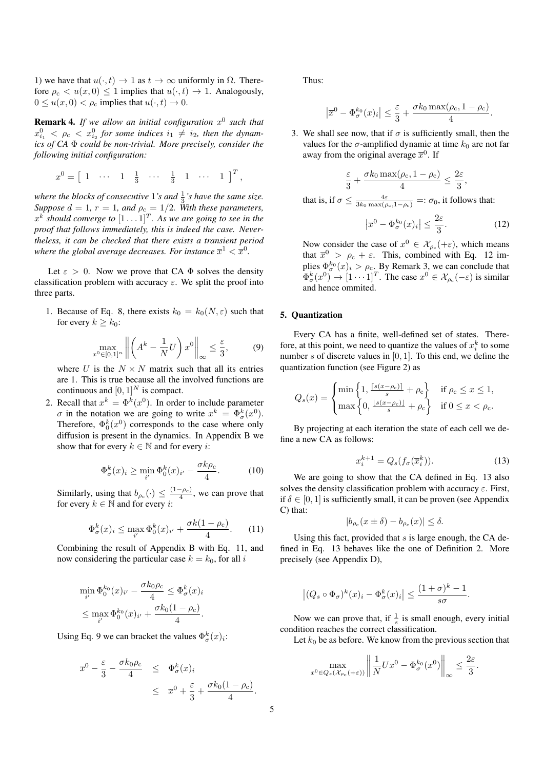1) we have that  $u(\cdot, t) \to 1$  as  $t \to \infty$  uniformly in  $\Omega$ . Therefore  $\rho_c < u(x,0) \leq 1$  implies that  $u(\cdot,t) \to 1$ . Analogously,  $0 \le u(x,0) < \rho_c$  implies that  $u(\cdot,t) \to 0$ .

Remark 4. *If we allow an initial configuration* x 0 *such that*  $x_{i_1}^0 < \rho_c < x_{i_2}^0$  for some indices  $i_1 \neq i_2$ , then the dynam*ics of CA* Φ *could be non-trivial. More precisely, consider the following initial configuration:*

$$
x^0 = \left[ \begin{array}{ccccccccc} 1 & \cdots & 1 & \frac{1}{3} & \cdots & \frac{1}{3} & 1 & \cdots & 1 \end{array} \right]^T,
$$

where the blocks of consecutive  $1$ 's and  $\frac{1}{3}$ 's have the same size. *Suppose*  $d = 1$ ,  $r = 1$ , and  $\rho_c = 1/2$ . With these parameters,  $x^k$  should converge to  $[1 \dots 1]^T$ . As we are going to see in the *proof that follows immediately, this is indeed the case. Nevertheless, it can be checked that there exists a transient period* where the global average decreases. For instance  $\overline{x}^1 < \overline{x}^0$ .

Let  $\varepsilon > 0$ . Now we prove that CA  $\Phi$  solves the density classification problem with accuracy  $\varepsilon$ . We split the proof into three parts.

1. Because of Eq. 8, there exists  $k_0 = k_0(N, \varepsilon)$  such that for every  $k > k_0$ :

$$
\max_{x^0 \in [0,1]^n} \left\| \left( A^k - \frac{1}{N} U \right) x^0 \right\|_{\infty} \le \frac{\varepsilon}{3},\tag{9}
$$

where U is the  $N \times N$  matrix such that all its entries are 1. This is true because all the involved functions are continuous and  $[0, 1]^N$  is compact.

2. Recall that  $x^k = \Phi^k(x^0)$ . In order to include parameter  $\sigma$  in the notation we are going to write  $x^k = \Phi_{\sigma}^k(x^0)$ . Therefore,  $\Phi_0^k(x^0)$  corresponds to the case where only diffusion is present in the dynamics. In Appendix B we show that for every  $k \in \mathbb{N}$  and for every *i*:

$$
\Phi_{\sigma}^k(x)_i \ge \min_{i'} \Phi_0^k(x)_{i'} - \frac{\sigma k \rho_c}{4}.
$$
 (10)

Similarly, using that  $b_{\rho_c}(\cdot) \leq \frac{(1-\rho_c)}{4}$ , we can prove that for every  $k \in \mathbb{N}$  and for every *i*:

$$
\Phi_{\sigma}^k(x)_i \le \max_{i'} \Phi_0^k(x)_{i'} + \frac{\sigma k(1 - \rho_c)}{4}.
$$
 (11)

Combining the result of Appendix B with Eq. 11, and now considering the particular case  $k = k_0$ , for all i

$$
\min_{i'} \Phi_0^{k_0}(x)_{i'} - \frac{\sigma k_0 \rho_c}{4} \le \Phi_\sigma^k(x)_i
$$
  

$$
\le \max_{i'} \Phi_0^{k_0}(x)_{i'} + \frac{\sigma k_0 (1 - \rho_c)}{4}.
$$

Using Eq. 9 we can bracket the values  $\Phi_{\sigma}^{k}(x)_{i}$ :

$$
\overline{x}^0 - \frac{\varepsilon}{3} - \frac{\sigma k_0 \rho_c}{4} \leq \Phi_\sigma^k(x)_i
$$
  

$$
\leq \overline{x}^0 + \frac{\varepsilon}{3} + \frac{\sigma k_0 (1 - \rho_c)}{4}.
$$

Thus:

that

$$
\left|\overline{x}^0 - \Phi_{\sigma}^{k_0}(x)_i\right| \leq \frac{\varepsilon}{3} + \frac{\sigma k_0 \max(\rho_c, 1 - \rho_c)}{4}.
$$

3. We shall see now, that if  $\sigma$  is sufficiently small, then the values for the  $\sigma$ -amplified dynamic at time  $k_0$  are not far away from the original average  $\overline{x}^0$ . If

$$
\frac{\varepsilon}{3} + \frac{\sigma k_0 \max(\rho_c, 1 - \rho_c)}{4} \le \frac{2\varepsilon}{3},
$$
  
is, if  $\sigma \le \frac{4\varepsilon}{3k_0 \max(\rho_c, 1 - \rho_c)} =: \sigma_0$ , it follows that:

$$
\left|\overline{x}^0 - \Phi_{\sigma}^{k_0}(x)_i\right| \le \frac{2\varepsilon}{3}.\tag{12}
$$

Now consider the case of  $x^0 \in \mathcal{X}_{\rho_c}(+\varepsilon)$ , which means that  $\overline{x}^0 > \rho_c + \varepsilon$ . This, combined with Eq. 12 implies  $\Phi_{\sigma}^{k_0}(x)_i > \rho_c$ . By Remark 3, we can conclude that  $\Phi_{\sigma}^{k}(x^{0}) \rightarrow [1 \cdots 1]^{T}$ . The case  $x^{0} \in \mathcal{X}_{\rho_{c}}(-\varepsilon)$  is similar and hence ommited.

## 5. Quantization

Every CA has a finite, well-defined set of states. Therefore, at this point, we need to quantize the values of  $x_i^k$  to some number s of discrete values in  $[0, 1]$ . To this end, we define the quantization function (see Figure 2) as

$$
Q_s(x) = \begin{cases} \min\left\{1, \frac{\lceil s(x-\rho_c) \rceil}{s} + \rho_c\right\} & \text{if } \rho_c \le x \le 1, \\ \max\left\{0, \frac{\lfloor s(x-\rho_c) \rfloor}{s} + \rho_c\right\} & \text{if } 0 \le x < \rho_c. \end{cases}
$$

By projecting at each iteration the state of each cell we define a new CA as follows:

$$
x_i^{k+1} = Q_s(f_\sigma(\overline{x}_i^k)).\tag{13}
$$

We are going to show that the CA defined in Eq. 13 also solves the density classification problem with accuracy  $\varepsilon$ . First, if  $\delta \in [0, 1]$  is sufficiently small, it can be proven (see Appendix C) that:

$$
|b_{\rho_c}(x \pm \delta) - b_{\rho_c}(x)| \le \delta.
$$

Using this fact, provided that  $s$  is large enough, the CA defined in Eq. 13 behaves like the one of Definition 2. More precisely (see Appendix D),

$$
\left| (Q_s \circ \Phi_{\sigma})^k (x)_i - \Phi_{\sigma}^k (x)_i \right| \le \frac{(1+\sigma)^k - 1}{s\sigma}.
$$

Now we can prove that, if  $\frac{1}{s}$  is small enough, every initial condition reaches the correct classification.

Let  $k_0$  be as before. We know from the previous section that

$$
\max_{x^0 \in Q_s(\mathcal{X}_{\rho_c}(+\varepsilon))} \left\| \frac{1}{N} Ux^0 - \Phi_\sigma^{k_0}(x^0) \right\|_\infty \le \frac{2\varepsilon}{3}.
$$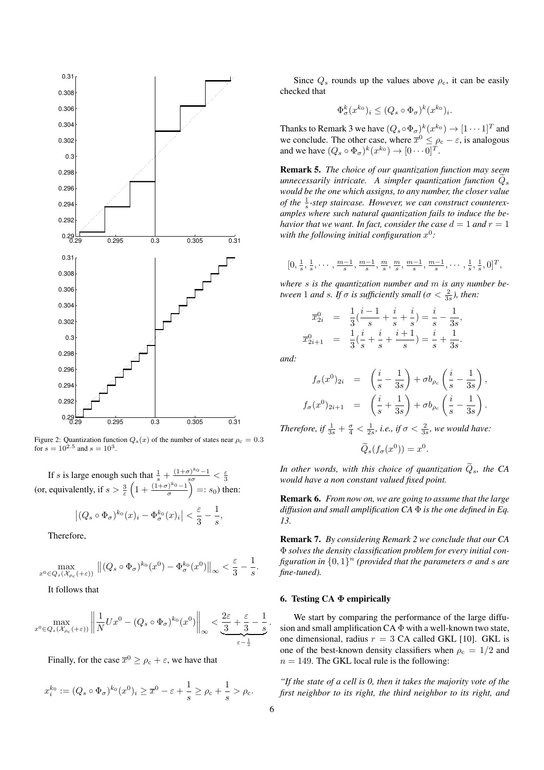

Figure 2: Quantization function  $Q_s(x)$  of the number of states near  $\rho_c = 0.3$ for  $s = 10^{2.5}$  and  $s = 10^3$ .

If s is large enough such that  $\frac{1}{s} + \frac{(1+\sigma)^{k_0}-1}{s\sigma} < \frac{\varepsilon}{3}$ (or, equivalently, if  $s > \frac{3}{\varepsilon} \left( 1 + \frac{(1+\sigma)^{k_0}-1}{\sigma} \right)$  $\left(\frac{\cdot}{\sigma}\right)^{k_0}$  =:  $s_0$ ) then:

$$
\left| (Q_s \circ \Phi_{\sigma})^{k_0}(x)_i - \Phi_{\sigma}^{k_0}(x)_i \right| < \frac{\varepsilon}{3} - \frac{1}{s},
$$

Therefore,

$$
\max_{x^0\in Q_s(\mathcal{X}_{\rho_\textnormal{c}}(+\varepsilon))}\ \big\|(Q_s\circ\Phi_\sigma)^{k_0}(x^0)-\Phi_\sigma^{k_0}(x^0)\big\|_\infty<\frac{\varepsilon}{3}-\frac{1}{s}.
$$

It follows that

$$
\max_{x^0 \in Q_s(\mathcal{X}_{\rho_c}(+\varepsilon))} \left\| \frac{1}{N} U x^0 - (Q_s \circ \Phi_\sigma)^{k_0} (x^0) \right\|_\infty < \underbrace{\frac{2\varepsilon}{3} + \frac{\varepsilon}{3} - \frac{1}{s}}_{\varepsilon - \frac{1}{s}}.
$$

Finally, for the case  $\overline{x}^0 \ge \rho_c + \varepsilon$ , we have that

$$
x_i^{k_0} := (Q_s \circ \Phi_\sigma)^{k_0} (x^0)_i \ge \overline{x}^0 - \varepsilon + \frac{1}{s} \ge \rho_c + \frac{1}{s} > \rho_c.
$$

Since  $Q_s$  rounds up the values above  $\rho_c$ , it can be easily checked that

$$
\Phi_{\sigma}^k(x^{k_0})_i \leq (Q_s \circ \Phi_{\sigma})^k(x^{k_0})_i.
$$

Thanks to Remark 3 we have  $(Q_s \circ \Phi_{\sigma})^k (x^{k_0}) \to [1 \cdots 1]^T$  and we conclude. The other case, where  $\overline{x}^0 \le \rho_c - \varepsilon$ , is analogous and we have  $(Q_s \circ \Phi_{\sigma})^k(x^{k_0}) \to [0 \cdots 0]^T$ .

Remark 5. *The choice of our quantization function may seem unnecessarily intricate. A simpler quantization function*  $Q_s$ *would be the one which assigns, to any number, the closer value of the*  $\frac{1}{s}$ -step staircase. However, we can construct counterex*amples where such natural quantization fails to induce the behavior that we want. In fact, consider the case*  $d = 1$  *and*  $r = 1$ with the following initial configuration  $x^0$ :

$$
[0, \frac{1}{s}, \frac{1}{s}, \cdots, \frac{m-1}{s}, \frac{m-1}{s}, \frac{m}{s}, \frac{m}{s}, \frac{m-1}{s}, \frac{m-1}{s}, \cdots, \frac{1}{s}, \frac{1}{s}, 0]^T,
$$

*where* s *is the quantization number and* m *is any number between* 1 *and s. If*  $\sigma$  *is sufficiently small* ( $\sigma < \frac{2}{3s}$ ), *then:* 

$$
\overline{x}_{2i}^0 = \frac{1}{3}(\frac{i-1}{s} + \frac{i}{s} + \frac{i}{s}) = \frac{i}{s} - \frac{1}{3s},
$$
  

$$
\overline{x}_{2i+1}^0 = \frac{1}{3}(\frac{i}{s} + \frac{i}{s} + \frac{i+1}{s}) = \frac{i}{s} + \frac{1}{3s}.
$$

*and:*

$$
f_{\sigma}(x^0)_{2i} = \left(\frac{i}{s} - \frac{1}{3s}\right) + \sigma b_{\rho_c}\left(\frac{i}{s} - \frac{1}{3s}\right),
$$
  

$$
f_{\sigma}(x^0)_{2i+1} = \left(\frac{i}{s} + \frac{1}{3s}\right) + \sigma b_{\rho_c}\left(\frac{i}{s} - \frac{1}{3s}\right).
$$

*Therefore, if*  $\frac{1}{3s} + \frac{\sigma}{4} < \frac{1}{2s}$ *, i.e., if*  $\sigma < \frac{2}{3s}$ *, we would have:* 

$$
\widetilde{Q}_s(f_\sigma(x^0)) = x^0.
$$

*In other words, with this choice of quantization*  $\widetilde{Q}_s$ *, the CA would have a non constant valued fixed point.*

Remark 6. *From now on, we are going to assume that the large diffusion and small amplification CA* Φ *is the one defined in Eq. 13.*

Remark 7. *By considering Remark 2 we conclude that our CA* Φ *solves the density classification problem for every initial con*figuration in  $\{0,1\}^n$  (provided that the parameters  $\sigma$  and  $s$  are *fine-tuned).*

## 6. Testing CA Φ empirically

We start by comparing the performance of the large diffusion and small amplification  $CA \Phi$  with a well-known two state, one dimensional, radius  $r = 3$  CA called GKL [10]. GKL is one of the best-known density classifiers when  $\rho_c = 1/2$  and  $n = 149$ . The GKL local rule is the following:

*"If the state of a cell is 0, then it takes the majority vote of the first neighbor to its right, the third neighbor to its right, and*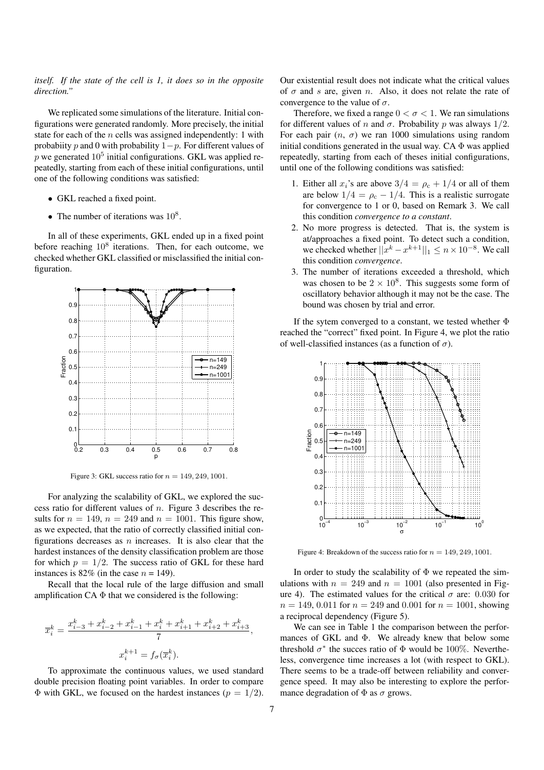## *itself. If the state of the cell is 1, it does so in the opposite direction."*

We replicated some simulations of the literature. Initial configurations were generated randomly. More precisely, the initial state for each of the  $n$  cells was assigned independently: 1 with probability p and 0 with probability  $1-p$ . For different values of p we generated  $10^5$  initial configurations. GKL was applied repeatedly, starting from each of these initial configurations, until one of the following conditions was satisfied:

- GKL reached a fixed point.
- The number of iterations was  $10^8$ .

In all of these experiments, GKL ended up in a fixed point before reaching  $10^8$  iterations. Then, for each outcome, we checked whether GKL classified or misclassified the initial configuration.



Figure 3: GKL success ratio for  $n = 149, 249, 1001$ .

For analyzing the scalability of GKL, we explored the success ratio for different values of  $n$ . Figure 3 describes the results for  $n = 149$ ,  $n = 249$  and  $n = 1001$ . This figure show, as we expected, that the ratio of correctly classified initial configurations decreases as  $n$  increases. It is also clear that the hardest instances of the density classification problem are those for which  $p = 1/2$ . The success ratio of GKL for these hard instances is 82% (in the case  $n = 149$ ).

Recall that the local rule of the large diffusion and small amplification CA  $\Phi$  that we considered is the following:

$$
\overline{x}_i^k = \frac{x_{i-3}^k + x_{i-2}^k + x_{i-1}^k + x_i^k + x_{i+1}^k + x_{i+2}^k + x_{i+3}^k}{7},
$$
  

$$
x_i^{k+1} = f_\sigma(\overline{x}_i^k).
$$

To approximate the continuous values, we used standard double precision floating point variables. In order to compare  $\Phi$  with GKL, we focused on the hardest instances ( $p = 1/2$ ).

Our existential result does not indicate what the critical values of  $\sigma$  and s are, given n. Also, it does not relate the rate of convergence to the value of  $\sigma$ .

Therefore, we fixed a range  $0 < \sigma < 1$ . We ran simulations for different values of n and  $\sigma$ . Probability p was always  $1/2$ . For each pair  $(n, \sigma)$  we ran 1000 simulations using random initial conditions generated in the usual way. CA  $\Phi$  was applied repeatedly, starting from each of theses initial configurations, until one of the following conditions was satisfied:

- 1. Either all  $x_i$ 's are above  $3/4 = \rho_c + 1/4$  or all of them are below  $1/4 = \rho_c - 1/4$ . This is a realistic surrogate for convergence to 1 or 0, based on Remark 3. We call this condition *convergence to a constant*.
- 2. No more progress is detected. That is, the system is at/approaches a fixed point. To detect such a condition, we checked whether  $||x^k - x^{k+1}||_1 \le n \times 10^{-8}$ . We call this condition *convergence*.
- 3. The number of iterations exceeded a threshold, which was chosen to be  $2 \times 10^8$ . This suggests some form of oscillatory behavior although it may not be the case. The bound was chosen by trial and error.

If the sytem converged to a constant, we tested whether Φ reached the "correct" fixed point. In Figure 4, we plot the ratio of well-classified instances (as a function of  $\sigma$ ).



Figure 4: Breakdown of the success ratio for  $n = 149, 249, 1001$ .

In order to study the scalability of  $\Phi$  we repeated the simulations with  $n = 249$  and  $n = 1001$  (also presented in Figure 4). The estimated values for the critical  $\sigma$  are: 0.030 for  $n = 149, 0.011$  for  $n = 249$  and 0.001 for  $n = 1001$ , showing a reciprocal dependency (Figure 5).

We can see in Table 1 the comparison between the performances of GKL and  $\Phi$ . We already knew that below some threshold  $\sigma^*$  the succes ratio of  $\Phi$  would be 100%. Nevertheless, convergence time increases a lot (with respect to GKL). There seems to be a trade-off between reliability and convergence speed. It may also be interesting to explore the performance degradation of  $\Phi$  as  $\sigma$  grows.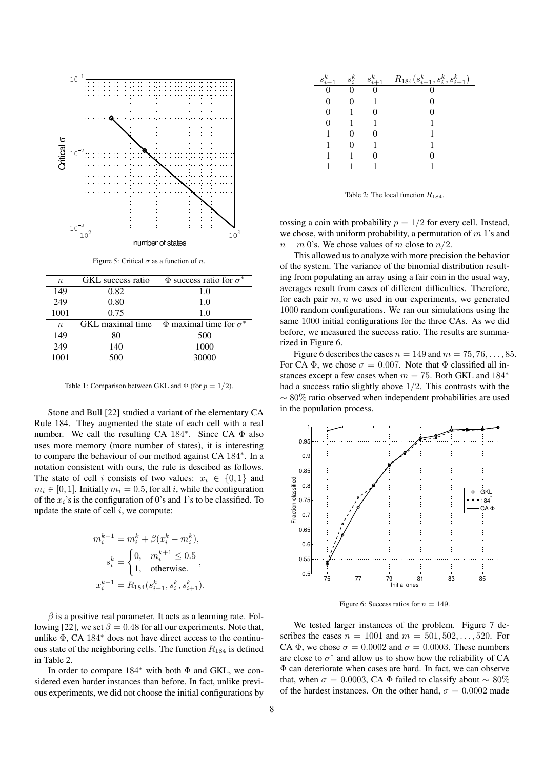

Figure 5: Critical  $\sigma$  as a function of n.

| $\, n$           | GKL success ratio | $\Phi$ success ratio for $\sigma^*$ |
|------------------|-------------------|-------------------------------------|
| 149              | 0.82              | 1.0                                 |
| 249              | 0.80              | 1.0                                 |
| 1001             | 0.75              | 1.0                                 |
| $\boldsymbol{n}$ | GKL maximal time  | $\Phi$ maximal time for $\sigma^*$  |
| 149              | 80                | 500                                 |
| 249              | 140               | 1000                                |
|                  |                   |                                     |
| 1001             | 500               | 30000                               |

Table 1: Comparison between GKL and  $\Phi$  (for  $p = 1/2$ ).

Stone and Bull [22] studied a variant of the elementary CA Rule 184. They augmented the state of each cell with a real number. We call the resulting CA 184<sup>∗</sup> . Since CA Φ also uses more memory (more number of states), it is interesting to compare the behaviour of our method against CA 184<sup>∗</sup> . In a notation consistent with ours, the rule is descibed as follows. The state of cell i consists of two values:  $x_i \in \{0, 1\}$  and  $m_i \in [0, 1]$ . Initially  $m_i = 0.5$ , for all i, while the configuration of the  $x_i$ 's is the configuration of 0's and 1's to be classified. To update the state of cell  $i$ , we compute:

$$
\begin{aligned} m_i^{k+1} &= m_i^k + \beta (x_i^k - m_i^k), \\ s_i^k &= \begin{cases} 0, & m_i^{k+1} \leq 0.5 \\ 1, & \text{otherwise}. \end{cases}, \\ x_i^{k+1} &= R_{184}(s_{i-1}^k, s_i^k, s_{i+1}^k). \end{aligned}
$$

 $\beta$  is a positive real parameter. It acts as a learning rate. Following [22], we set  $\beta = 0.48$  for all our experiments. Note that, unlike Φ, CA 184<sup>∗</sup> does not have direct access to the continuous state of the neighboring cells. The function  $R_{184}$  is defined in Table 2.

In order to compare 184<sup>∗</sup> with both Φ and GKL, we considered even harder instances than before. In fact, unlike previous experiments, we did not choose the initial configurations by

| $s_i^k$ | $s_i^k$ | $s_{i+1}^k$ | $R_{184}(s_{i-1}^k, s_i^k, s_{i+1}^k)$ |
|---------|---------|-------------|----------------------------------------|
|         |         |             |                                        |
|         |         |             |                                        |
|         |         |             |                                        |
|         |         |             |                                        |
|         |         |             |                                        |
|         |         |             |                                        |
|         |         |             |                                        |
|         |         |             |                                        |

Table 2: The local function  $R_{184}$ .

tossing a coin with probability  $p = 1/2$  for every cell. Instead, we chose, with uniform probability, a permutation of  $m<sup>1</sup>$ 's and  $n - m$  0's. We chose values of m close to  $n/2$ .

This allowed us to analyze with more precision the behavior of the system. The variance of the binomial distribution resulting from populating an array using a fair coin in the usual way, averages result from cases of different difficulties. Therefore, for each pair  $m, n$  we used in our experiments, we generated 1000 random configurations. We ran our simulations using the same 1000 initial configurations for the three CAs. As we did before, we measured the success ratio. The results are summarized in Figure 6.

Figure 6 describes the cases  $n = 149$  and  $m = 75, 76, \ldots, 85$ . For CA  $\Phi$ , we chose  $\sigma = 0.007$ . Note that  $\Phi$  classified all instances except a few cases when  $m = 75$ . Both GKL and 184<sup>\*</sup> had a success ratio slightly above 1/2. This contrasts with the  $\sim$  80% ratio observed when independent probabilities are used in the population process.



Figure 6: Success ratios for  $n = 149$ .

We tested larger instances of the problem. Figure 7 describes the cases  $n = 1001$  and  $m = 501, 502, ..., 520$ . For CA  $\Phi$ , we chose  $\sigma = 0.0002$  and  $\sigma = 0.0003$ . These numbers are close to  $\sigma^*$  and allow us to show how the reliability of CA Φ can deteriorate when cases are hard. In fact, we can observe that, when  $\sigma = 0.0003$ , CA Φ failed to classify about ~ 80% of the hardest instances. On the other hand,  $\sigma = 0.0002$  made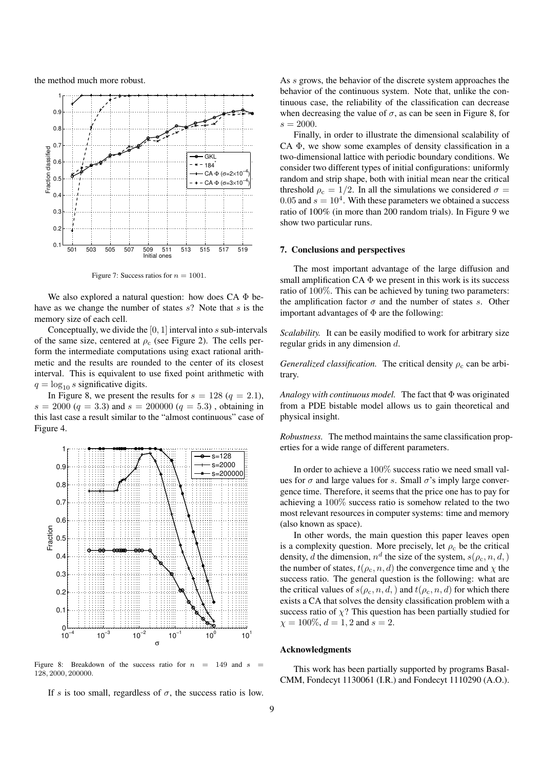the method much more robust.



Figure 7: Success ratios for  $n = 1001$ .

We also explored a natural question: how does  $CA \Phi$  behave as we change the number of states  $s$ ? Note that  $s$  is the memory size of each cell.

Conceptually, we divide the  $[0, 1]$  interval into s sub-intervals of the same size, centered at  $\rho_c$  (see Figure 2). The cells perform the intermediate computations using exact rational arithmetic and the results are rounded to the center of its closest interval. This is equivalent to use fixed point arithmetic with  $q = \log_{10} s$  significative digits.

In Figure 8, we present the results for  $s = 128 (q = 2.1)$ ,  $s = 2000 (q = 3.3)$  and  $s = 200000 (q = 5.3)$ , obtaining in this last case a result similar to the "almost continuous" case of Figure 4.



Figure 8: Breakdown of the success ratio for  $n = 149$  and s 128, 2000, 200000.

If s is too small, regardless of  $\sigma$ , the success ratio is low.

As s grows, the behavior of the discrete system approaches the behavior of the continuous system. Note that, unlike the continuous case, the reliability of the classification can decrease when decreasing the value of  $\sigma$ , as can be seen in Figure 8, for  $s = 2000.$ 

Finally, in order to illustrate the dimensional scalability of CA Φ, we show some examples of density classification in a two-dimensional lattice with periodic boundary conditions. We consider two different types of initial configurations: uniformly random and strip shape, both with initial mean near the critical threshold  $\rho_c = 1/2$ . In all the simulations we considered  $\sigma =$ 0.05 and  $s = 10<sup>4</sup>$ . With these parameters we obtained a success ratio of 100% (in more than 200 random trials). In Figure 9 we show two particular runs.

#### 7. Conclusions and perspectives

The most important advantage of the large diffusion and small amplification  $CA \Phi$  we present in this work is its success ratio of 100%. This can be achieved by tuning two parameters: the amplification factor  $\sigma$  and the number of states s. Other important advantages of  $\Phi$  are the following:

*Scalability.* It can be easily modified to work for arbitrary size regular grids in any dimension d.

*Generalized classification.* The critical density  $\rho_c$  can be arbitrary.

*Analogy with continuous model.* The fact that Φ was originated from a PDE bistable model allows us to gain theoretical and physical insight.

*Robustness.* The method maintains the same classification properties for a wide range of different parameters.

In order to achieve a 100% success ratio we need small values for  $\sigma$  and large values for s. Small  $\sigma$ 's imply large convergence time. Therefore, it seems that the price one has to pay for achieving a 100% success ratio is somehow related to the two most relevant resources in computer systems: time and memory (also known as space).

In other words, the main question this paper leaves open is a complexity question. More precisely, let  $\rho_c$  be the critical density, d the dimension,  $n^d$  the size of the system,  $s(\rho_c, n, d)$ the number of states,  $t(\rho_c, n, d)$  the convergence time and  $\chi$  the success ratio. The general question is the following: what are the critical values of  $s(\rho_c, n, d)$  and  $t(\rho_c, n, d)$  for which there exists a CA that solves the density classification problem with a success ratio of  $\chi$ ? This question has been partially studied for  $\chi = 100\%, d = 1, 2$  and  $s = 2$ .

## Acknowledgments

This work has been partially supported by programs Basal-CMM, Fondecyt 1130061 (I.R.) and Fondecyt 1110290 (A.O.).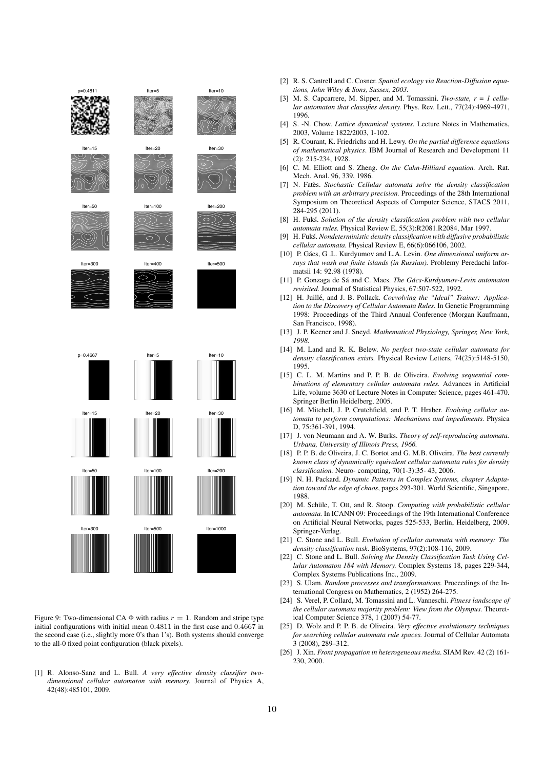

Figure 9: Two-dimensional CA  $\Phi$  with radius  $r = 1$ . Random and stripe type initial configurations with initial mean 0.4811 in the first case and 0.4667 in the second case (i.e., slightly more 0's than 1's). Both systems should converge to the all-0 fixed point configuration (black pixels).

[1] R. Alonso-Sanz and L. Bull. *A very effective density classifier twodimensional cellular automaton with memory.* Journal of Physics A, 42(48):485101, 2009.

- [2] R. S. Cantrell and C. Cosner. *Spatial ecology via Reaction-Diffusion equations, John Wiley & Sons, Sussex, 2003.*
- [3] M. S. Capcarrere, M. Sipper, and M. Tomassini. *Two-state, r = 1 cellular automaton that classifies density.* Phys. Rev. Lett., 77(24):4969-4971, 1996.
- [4] S. -N. Chow. *Lattice dynamical systems.* Lecture Notes in Mathematics, 2003, Volume 1822/2003, 1-102.
- [5] R. Courant, K. Friedrichs and H. Lewy. *On the partial difference equations of mathematical physics*. IBM Journal of Research and Development 11 (2): 215-234, 1928.
- [6] C. M. Elliott and S. Zheng. *On the Cahn-Hilliard equation.* Arch. Rat. Mech. Anal. 96, 339, 1986.
- [7] N. Fatès. Stochastic Cellular automata solve the density classification *problem with an arbitrary precision.* Proceedings of the 28th International Symposium on Theoretical Aspects of Computer Science, STACS 2011, 284-295 (2011).
- [8] H. Fuks.´ *Solution of the density classification problem with two cellular automata rules.* Physical Review E, 55(3):R2081.R2084, Mar 1997.
- [9] H. Fuks.´ *Nondeterministic density classification with diffusive probabilistic cellular automata.* Physical Review E, 66(6):066106, 2002.
- [10] P. Gács, G .L. Kurdyumov and L.A. Levin. One dimensional uniform ar*rays that wash out finite islands (in Russian).* Problemy Peredachi Informatsii 14: 92.98 (1978).
- [11] P. Gonzaga de Sá and C. Maes. *The Gács-Kurdyumov-Levin automaton revisited.* Journal of Statistical Physics, 67:507-522, 1992.
- [12] H. Juillé, and J. B. Pollack. Coevolving the "Ideal" Trainer: Applica*tion to the Discovery of Cellular Automata Rules.* In Genetic Programming 1998: Proceedings of the Third Annual Conference (Morgan Kaufmann, San Francisco, 1998).
- [13] J. P. Keener and J. Sneyd. *Mathematical Physiology, Springer, New York, 1998.*
- [14] M. Land and R. K. Belew. *No perfect two-state cellular automata for density classification exists.* Physical Review Letters, 74(25):5148-5150, 1995.
- [15] C. L. M. Martins and P. P. B. de Oliveira. *Evolving sequential combinations of elementary cellular automata rules.* Advances in Artificial Life, volume 3630 of Lecture Notes in Computer Science, pages 461-470. Springer Berlin Heidelberg, 2005.
- [16] M. Mitchell, J. P. Crutchfield, and P. T. Hraber. *Evolving cellular automata to perform computations: Mechanisms and impediments.* Physica D, 75:361-391, 1994.
- [17] J. von Neumann and A. W. Burks. *Theory of self-reproducing automata. Urbana, University of Illinois Press, 1966.*
- [18] P. P. B. de Oliveira, J. C. Bortot and G. M.B. Oliveira. *The best currently known class of dynamically equivalent cellular automata rules for density classification.* Neuro- computing, 70(1-3):35- 43, 2006.
- [19] N. H. Packard. *Dynamic Patterns in Complex Systems, chapter Adaptation toward the edge of chaos*, pages 293-301. World Scientific, Singapore, 1988.
- [20] M. Schüle, T. Ott, and R. Stoop. Computing with probabilistic cellular *automata.* In ICANN 09: Proceedings of the 19th International Conference on Artificial Neural Networks, pages 525-533, Berlin, Heidelberg, 2009. Springer-Verlag.
- [21] C. Stone and L. Bull. *Evolution of cellular automata with memory: The density classification task*. BioSystems, 97(2):108-116, 2009.
- [22] C. Stone and L. Bull. *Solving the Density Classification Task Using Cellular Automaton 184 with Memory.* Complex Systems 18, pages 229-344, Complex Systems Publications Inc., 2009.
- [23] S. Ulam. *Random processes and transformations.* Proceedings of the International Congress on Mathematics, 2 (1952) 264-275.
- [24] S. Verel, P. Collard, M. Tomassini and L. Vanneschi. *Fitness landscape of the cellular automata majority problem: View from the Olympus.* Theoretical Computer Science 378, 1 (2007) 54-77.
- [25] D. Wolz and P. P. B. de Oliveira. *Very effective evolutionary techniques for searching cellular automata rule spaces.* Journal of Cellular Automata 3 (2008), 289–312.
- [26] J. Xin. *Front propagation in heterogeneous media*. SIAM Rev. 42 (2) 161- 230, 2000.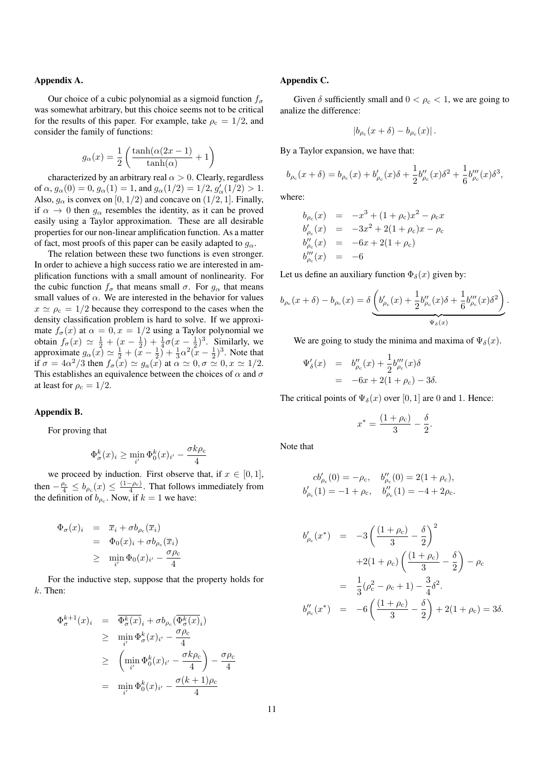## Appendix A.

Our choice of a cubic polynomial as a sigmoid function  $f_{\sigma}$ was somewhat arbitrary, but this choice seems not to be critical for the results of this paper. For example, take  $\rho_c = 1/2$ , and consider the family of functions:

$$
g_{\alpha}(x) = \frac{1}{2} \left( \frac{\tanh(\alpha(2x - 1)}{\tanh(\alpha)} + 1 \right)
$$

characterized by an arbitrary real  $\alpha > 0$ . Clearly, regardless of  $\alpha$ ,  $g_{\alpha}(0) = 0$ ,  $g_{\alpha}(1) = 1$ , and  $g_{\alpha}(1/2) = 1/2$ ,  $g'_{\alpha}(1/2) > 1$ . Also,  $g_{\alpha}$  is convex on [0, 1/2) and concave on (1/2, 1]. Finally, if  $\alpha \to 0$  then  $g_{\alpha}$  resembles the identity, as it can be proved easily using a Taylor approximation. These are all desirable properties for our non-linear amplification function. As a matter of fact, most proofs of this paper can be easily adapted to  $g_{\alpha}$ .

The relation between these two functions is even stronger. In order to achieve a high success ratio we are interested in amplification functions with a small amount of nonlinearity. For the cubic function  $f_{\sigma}$  that means small  $\sigma$ . For  $g_{\alpha}$  that means small values of  $\alpha$ . We are interested in the behavior for values  $x \simeq \rho_c = 1/2$  because they correspond to the cases when the density classification problem is hard to solve. If we approximate  $f_{\sigma}(x)$  at  $\alpha = 0, x = 1/2$  using a Taylor polynomial we obtain  $f_{\sigma}(x) \simeq \frac{1}{2} + (x - \frac{1}{2}) + \frac{1}{4}\sigma(x - \frac{1}{2})^3$ . Similarly, we approximate  $g_{\alpha}(x) \simeq \frac{1}{2} + (x - \frac{1}{2}) + \frac{1}{3}\alpha^2(x - \frac{1}{2})^3$ . Note that if  $\sigma = 4\alpha^2/3$  then  $f_{\sigma}(x) \simeq g_a(x)$  at  $\alpha \simeq 0, \sigma \simeq 0, x \simeq 1/2$ . This establishes an equivalence between the choices of  $\alpha$  and  $\sigma$ at least for  $\rho_c = 1/2$ .

#### Appendix B.

For proving that

$$
\Phi_{\sigma}^k(x)_i \ge \min_{i'} \Phi_0^k(x)_{i'} - \frac{\sigma k \rho_c}{4}
$$

we proceed by induction. First observe that, if  $x \in [0, 1]$ , then  $-\frac{\rho_c}{4} \leq b_{\rho_c}(x) \leq \frac{(1-\rho_c)}{4}$ . That follows immediately from the definition of  $b_{\rho_c}$ . Now, if  $k = 1$  we have:

$$
\begin{array}{rcl}\n\Phi_{\sigma}(x)_i & = & \overline{x}_i + \sigma b_{\rho_c}(\overline{x}_i) \\
& = & \Phi_0(x)_i + \sigma b_{\rho_c}(\overline{x}_i) \\
& \geq & \min_{i'} \Phi_0(x)_{i'} - \frac{\sigma \rho_c}{4}\n\end{array}
$$

For the inductive step, suppose that the property holds for  $k$ . Then:

$$
\Phi_{\sigma}^{k+1}(x)_i = \overline{\Phi_{\sigma}^k(x)_i} + \sigma b_{\rho_c}(\overline{\Phi_{\sigma}^k(x)_i})
$$
\n
$$
\geq \min_{i'} \Phi_{\sigma}^k(x)_{i'} - \frac{\sigma \rho_c}{4}
$$
\n
$$
\geq \left(\min_{i'} \Phi_0^k(x)_{i'} - \frac{\sigma k \rho_c}{4}\right) - \frac{\sigma \rho_c}{4}
$$
\n
$$
= \min_{i'} \Phi_0^k(x)_{i'} - \frac{\sigma(k+1)\rho_c}{4}
$$

## Appendix C.

Given  $\delta$  sufficiently small and  $0 < \rho_c < 1$ , we are going to analize the difference:

$$
|b_{\rho_c}(x+\delta) - b_{\rho_c}(x)|.
$$

By a Taylor expansion, we have that:

$$
b_{\rho_c}(x+\delta) = b_{\rho_c}(x) + b'_{\rho_c}(x)\delta + \frac{1}{2}b''_{\rho_c}(x)\delta^2 + \frac{1}{6}b'''_{\rho_c}(x)\delta^3,
$$

where:

$$
b_{\rho_c}(x) = -x^3 + (1 + \rho_c)x^2 - \rho_c x
$$
  
\n
$$
b'_{\rho_c}(x) = -3x^2 + 2(1 + \rho_c)x - \rho_c
$$
  
\n
$$
b''_{\rho_c}(x) = -6x + 2(1 + \rho_c)
$$
  
\n
$$
b'''_{\rho_c}(x) = -6
$$

Let us define an auxiliary function  $\Phi_{\delta}(x)$  given by:

$$
b_{\rho_c}(x+\delta) - b_{\rho_c}(x) = \delta \underbrace{\left(b'_{\rho_c}(x) + \frac{1}{2}b''_{\rho_c}(x)\delta + \frac{1}{6}b'''_{\rho_c}(x)\delta^2\right)}_{\Psi_\delta(x)}.
$$

We are going to study the minima and maxima of  $\Psi_{\delta}(x)$ .

$$
\Psi'_{\delta}(x) = b''_{\rho_c}(x) + \frac{1}{2}b'''_{\rho_c}(x)\delta
$$
  
= -6x + 2(1 + \rho\_c) - 3\delta.

The critical points of  $\Psi_{\delta}(x)$  over [0, 1] are 0 and 1. Hence:

$$
x^* = \frac{(1+\rho_{\rm c})}{3} - \frac{\delta}{2}.
$$

Note that

$$
cb'_{\rho_c}(0) = -\rho_c, \quad b''_{\rho_c}(0) = 2(1 + \rho_c),
$$
  

$$
b'_{\rho_c}(1) = -1 + \rho_c, \quad b''_{\rho_c}(1) = -4 + 2\rho_c.
$$

$$
b'_{\rho_c}(x^*) = -3\left(\frac{(1+\rho_c)}{3} - \frac{\delta}{2}\right)^2
$$
  
+2(1+\rho\_c)\left(\frac{(1+\rho\_c)}{3} - \frac{\delta}{2}\right) - \rho\_c  
=  $\frac{1}{3}(\rho_c^2 - \rho_c + 1) - \frac{3}{4}\delta^2$ .  

$$
b''_{\rho_c}(x^*) = -6\left(\frac{(1+\rho_c)}{3} - \frac{\delta}{2}\right) + 2(1+\rho_c) = 3\delta.
$$